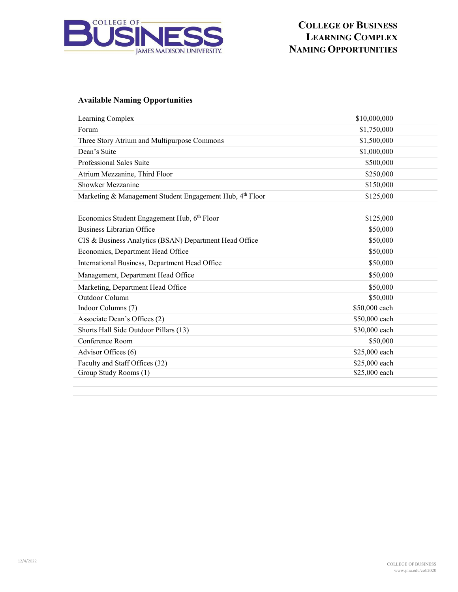

## **COLLEGE OF BUSINESS LEARNING COMPLEX NAMING OPPORTUNITIES**

### **Available Naming Opportunities**

| Learning Complex                                         | \$10,000,000  |
|----------------------------------------------------------|---------------|
| Forum                                                    | \$1,750,000   |
| Three Story Atrium and Multipurpose Commons              | \$1,500,000   |
| Dean's Suite                                             | \$1,000,000   |
| Professional Sales Suite                                 | \$500,000     |
| Atrium Mezzanine, Third Floor                            | \$250,000     |
| Showker Mezzanine                                        | \$150,000     |
| Marketing & Management Student Engagement Hub, 4th Floor | \$125,000     |
|                                                          |               |
| Economics Student Engagement Hub, 6th Floor              | \$125,000     |
| <b>Business Librarian Office</b>                         | \$50,000      |
| CIS & Business Analytics (BSAN) Department Head Office   | \$50,000      |
| Economics, Department Head Office                        | \$50,000      |
| International Business, Department Head Office           | \$50,000      |
| Management, Department Head Office                       | \$50,000      |
| Marketing, Department Head Office                        | \$50,000      |
| Outdoor Column                                           | \$50,000      |
| Indoor Columns (7)                                       | \$50,000 each |
| Associate Dean's Offices (2)                             | \$50,000 each |
| Shorts Hall Side Outdoor Pillars (13)                    | \$30,000 each |
| Conference Room                                          | \$50,000      |
| Advisor Offices (6)                                      | \$25,000 each |
| Faculty and Staff Offices (32)                           | \$25,000 each |
| Group Study Rooms (1)                                    | \$25,000 each |
|                                                          |               |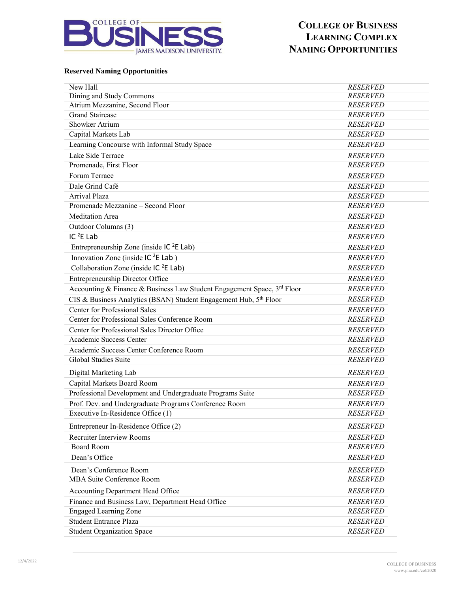

## **COLLEGE OF BUSINESS LEARNING COMPLEX NAMING OPPORTUNITIES**

#### **Reserved Naming Opportunities**

| <b>RESERVED</b> |
|-----------------|
| <b>RESERVED</b> |
| <b>RESERVED</b> |
| <b>RESERVED</b> |
| <b>RESERVED</b> |
| <b>RESERVED</b> |
| <b>RESERVED</b> |
| <b>RESERVED</b> |
| <b>RESERVED</b> |
| <b>RESERVED</b> |
| <b>RESERVED</b> |
| <b>RESERVED</b> |
| <b>RESERVED</b> |
| <b>RESERVED</b> |
| <b>RESERVED</b> |
| <b>RESERVED</b> |
| <b>RESERVED</b> |
| <b>RESERVED</b> |
| <b>RESERVED</b> |
| <b>RESERVED</b> |
| <b>RESERVED</b> |
| <b>RESERVED</b> |
| <b>RESERVED</b> |
| <b>RESERVED</b> |
| <b>RESERVED</b> |
| <b>RESERVED</b> |
| <b>RESERVED</b> |
| <b>RESERVED</b> |
| <b>RESERVED</b> |
| <b>RESERVED</b> |
| <b>RESERVED</b> |
| <b>RESERVED</b> |
| <b>RESERVED</b> |
| <b>RESERVED</b> |
| <b>RESERVED</b> |
| <b>RESERVED</b> |
| <b>RESERVED</b> |
| <b>RESERVED</b> |
| <b>RESERVED</b> |
| <b>RESERVED</b> |
| <b>RESERVED</b> |
| <b>RESERVED</b> |
| <b>RESERVED</b> |
| <b>RESERVED</b> |
|                 |